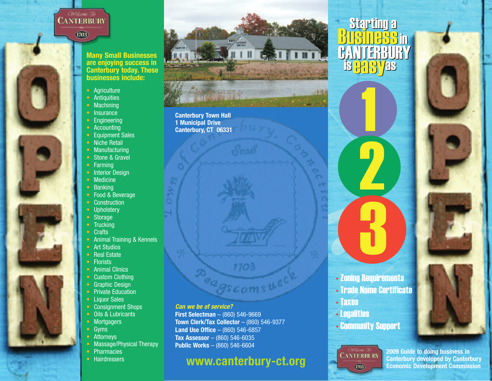# **CANTERBURY**

 $(1703)$ 

**Many Small Businesses are enjoying success in Canterbury today. These businesses include:**

- Agriculture
- Antiquities
- Machining
- Insurance
- Engineering
- Accounting
- Equipment Sales
- Niche Retail
- Manufacturing
- Stone & Gravel
- Farming
- Interior Design
- Medicine
- Banking
- Food & Beverage
- Construction
- Upholstery
- Storage
- Trucking
- Crafts
- Animal Training & Kennels
- Art Studios
- Real Estate
- Florists
- Animal Clinics
- Custom Clothing
- Graphic Design
- Private Education
- Liquor Sales
- Consignment Shops
- Oils & Lubricants
- Mortgagers
- Gyms
- Attorneys
- Massage/Physical Therapy
- Pharmacies
- Hairdressers



**Canterbury Town Hall 1 Municipal Drive Canterbury, CT 06331**

**PARTICULAR SIDE** 

#### *Can we be of service?*

**First Selectman** – (860) 546-9669 **Town Clerk/Tax Collector** – (860) 546-9377 **Land Use Office** – (860) 546-6857 **Tax Assessor** – (860) 546-6035 **Public Works** – (860) 546-6604

# **www.canterbury-ct.org**

970a

Gs com s

# starting a<br>B<u>usiness</u>in **CANTERBURY** is <mark>993)</mark> se 1

1194



3

2

- Taxes
- Legalities
- Community Support

**CANTERBURY**  $(1703)$ 

**2009 Guide to doing business in Canterbury developed by Canterbury Economic Development Commission**